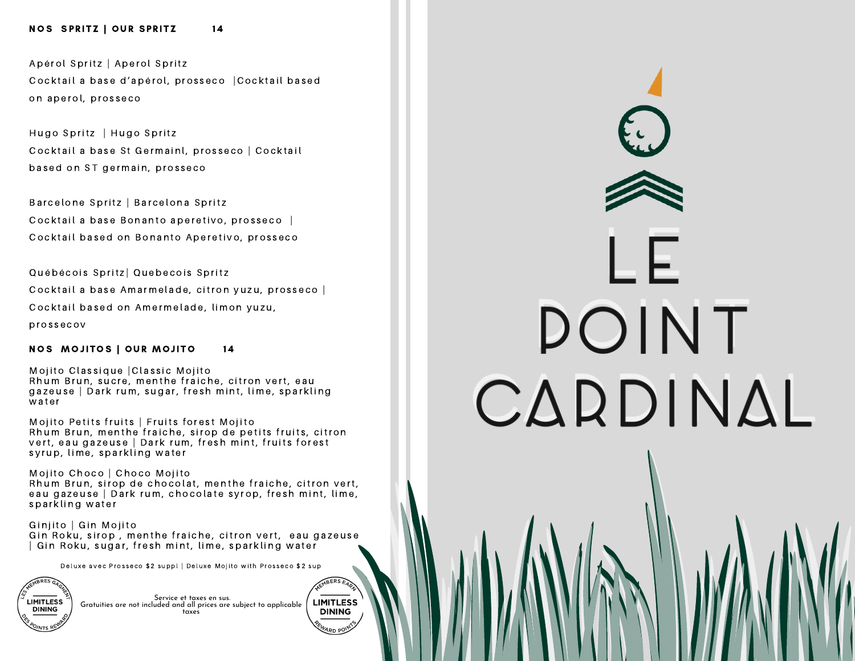#### NOS SPRITZ | OUR SPRITZ 14

A pérol Spritz | A perol Spritz Cocktail a base d'apérol, prosseco |Cocktail based on aperol, prosseco

Hugo Spritz | Hugo Spritz Cocktail a base St Germainl, prosseco | Cocktail based on ST germain, prosseco

Barcelone Spritz | Barcelona Spritz Cocktail a base Bonanto aperetivo, prosseco | Cocktail based on Bonanto Aperetivo, prosseco

Québécois Spritz | Quebecois Spritz

Cocktail a base Amarmelade, citron yuzu, prosseco |

Cocktail based on Amermelade, limon yuzu,

p r o s s e c o v

#### NOS MOJITOS | OUR MOJITO 14

Mojito Classique | Classic Mojito Rhum Brun, sucre, menthe fraiche, citron vert, eau gazeuse | Dark rum, sugar, fresh mint, lime, sparkling water

Mojito Petits fruits | Fruits forest Mojito Rhum Brun, menthe fraiche, sirop de petits fruits, citron vert, eau gazeuse | Dark rum, fresh mint, fruits forest s y r u p, lime, s parkling water

Mojito Choco | Choco Mojito Rhum Brun, sirop de chocolat, menthe fraiche, citron vert, eau gazeuse | Dark rum, chocolate syrop, fresh mint, lime, sparkling water

Ginjito | Gin Mojito Gin Roku, sirop, menthe fraiche, citron vert, eau gazeuse | Gin Roku, sugar, fresh mint, lime, sparkling water

Deluxe avec Prosseco \$2 suppl | Deluxe Moiito with Prosseco \$2 sup

MBERS EAR

**LIMITLESS** 

**DINING** 

Service et taxes en sus. Gratuities are not included and all prices are subject to applicable **LIMITLESS DINING** taxes

DOINT CARDINAL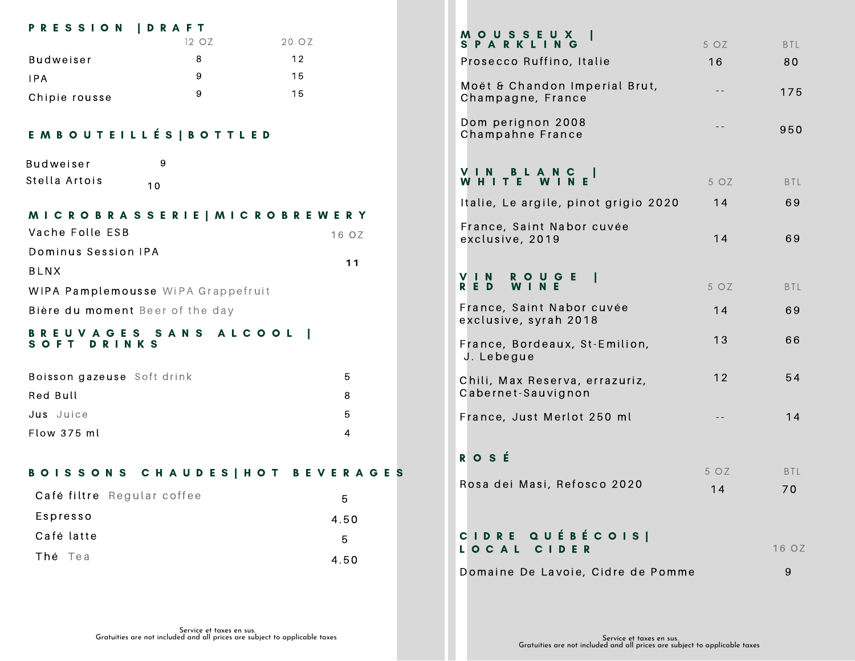| <b>PRESSION</b>                         | <b>D R A F T</b> |                                  |  |  |
|-----------------------------------------|------------------|----------------------------------|--|--|
|                                         | 12 OZ            | 20 OZ                            |  |  |
| <b>Budweiser</b>                        | 8<br>9           | 12<br>15                         |  |  |
| IPA                                     | 9                | 15                               |  |  |
| Chipie rousse                           |                  |                                  |  |  |
| E M B O U T E I L L É S   B O T T L E D |                  |                                  |  |  |
| <b>Budweiser</b>                        | 9                |                                  |  |  |
| Stella Artois<br>10                     |                  |                                  |  |  |
| MICROBRASSERIE   MICROBREWERY           |                  |                                  |  |  |
| Vache Folle ESB                         |                  | 16 OZ                            |  |  |
| Dominus Session IPA                     |                  | 11                               |  |  |
| <b>BLNX</b>                             |                  |                                  |  |  |
| WIPA Pamplemousse WiPA Grappefruit      |                  |                                  |  |  |
| Bière du moment Beer of the day         |                  |                                  |  |  |
| BRE<br>UVAG<br>SOFT<br>DRINKS           | ES SANS ALCOOL   | $\blacksquare$                   |  |  |
| Boisson gazeuse Soft drink              |                  | 5                                |  |  |
| Red Bull                                |                  | 8                                |  |  |
| Jus Juice                               |                  | 5                                |  |  |
| Flow 375 ml                             |                  | 4                                |  |  |
|                                         |                  | BOISSONS CHAUDES   HOT BEVERAGES |  |  |
| Café filtre Regular coffee              |                  | 5                                |  |  |
| Espresso                                |                  | 4.50                             |  |  |
| Café latte                              |                  | 5                                |  |  |
| Thé Tea                                 |                  | 4.50                             |  |  |
|                                         |                  |                                  |  |  |

| <b>MOUSSE</b><br>X<br>Ш<br><b>SPARKL</b><br>ING      | 5 OZ       | <b>BTL</b>       |
|------------------------------------------------------|------------|------------------|
| Prosecco Ruffino, Italie                             | 16         | 80               |
| Moët & Chandon Imperial Brut,<br>Champagne, France   | $-$        | 175              |
| Dom perignon 2008<br>Champahne France                | $ -$       | 950              |
| VIN<br>BLANC<br><b>WIN</b><br>Е<br>WHITE             | 5 OZ       | <b>BTL</b>       |
| Italie, Le argile, pinot grigio 2020                 | 14         | 69               |
| France, Saint Nabor cuvée<br>exclusive, 2019         | 14         | 69               |
| VI.<br><b>ROUGE</b><br>N<br>W I N<br>RED<br>Е.       | 5 OZ       | <b>BTL</b>       |
| France, Saint Nabor cuvée<br>exclusive, syrah 2018   | 14         | 69               |
| France, Bordeaux, St-Emilion,<br>J. Lebegue          | 13         | 66               |
| Chili, Max Reserva, errazuriz,<br>Cabernet-Sauvignon | 12         | 54               |
| France, Just Merlot 250 ml                           |            | 14               |
| ROSÉ                                                 |            |                  |
| Rosa dei Masi, Refosco 2020                          | 5 OZ<br>14 | <b>BTL</b><br>70 |
| CIDRE QUÉBÉCOIS <br>LOCAL CIDER                      |            | 16 OZ            |
| Domaine De Lavoie, Cidre de Pomme                    |            | 9                |
|                                                      |            |                  |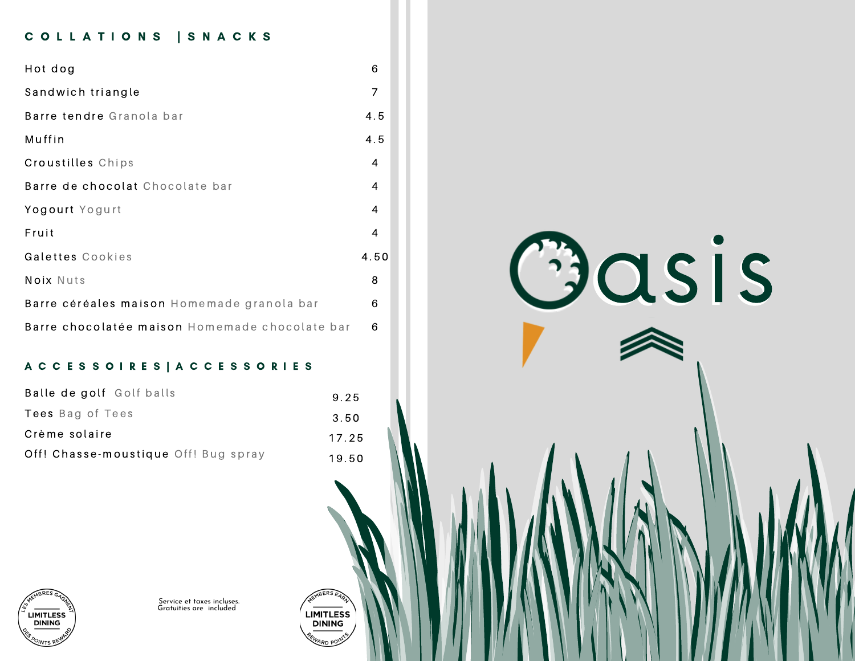# COLLATIONS | SNACKS

| Hot dog                                        | 6    |
|------------------------------------------------|------|
| Sandwich triangle                              | 7    |
| Barre tendre Granola bar                       | 4.5  |
| Muffin                                         | 4.5  |
| Croustilles Chips                              | 4    |
| Barre de chocolat Chocolate bar                | 4    |
| Yogourt Yogurt                                 | 4    |
| Fruit                                          | 4    |
| Galettes Cookies                               | 4.50 |
| Noix Nuts                                      | 8    |
| Barre céréales maison Homemade granola bar     | 6    |
| Barre chocolatée maison Homemade chocolate bar | 6    |

## A C C E S S O I R E S | A C C E S S O R I E S

| Balle de golf Golf balls             | 9.25  |
|--------------------------------------|-------|
| <b>Tees</b> Bag of Tees              | 3.50  |
| Crème solaire                        | 17.25 |
| Off! Chasse-moustique Off! Bug spray | 19.50 |





Service et taxes incluses. Gratuities are included

LIMITLESS<br>DINING

ARD PO